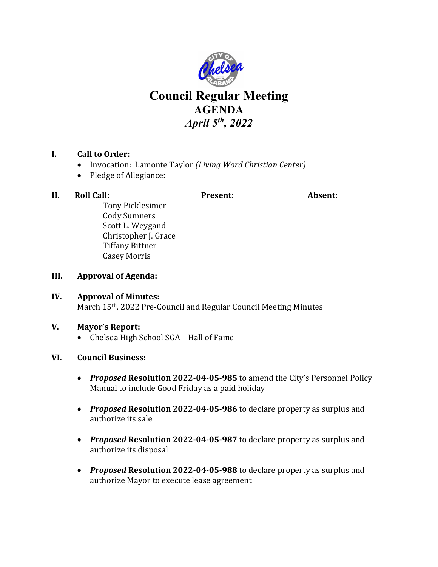

# **Council Regular Meeting AGENDA** *April 5th, 2022*

## **I. Call to Order:**

- Invocation: Lamonte Taylor *(Living Word Christian Center)*
- Pledge of Allegiance:

## **II. Roll Call: Present: Absent:**

Tony Picklesimer Cody Sumners Scott L. Weygand Christopher J. Grace Tiffany Bittner Casey Morris

- **III. Approval of Agenda:**
- **IV. Approval of Minutes:** March 15th, 2022 Pre-Council and Regular Council Meeting Minutes

## **V. Mayor's Report:**

• Chelsea High School SGA – Hall of Fame

## **VI. Council Business:**

- *Proposed* **Resolution 2022-04-05-985** to amend the City's Personnel Policy Manual to include Good Friday as a paid holiday
- *Proposed* **Resolution 2022-04-05-986** to declare property as surplus and authorize its sale
- *Proposed* **Resolution 2022-04-05-987** to declare property as surplus and authorize its disposal
- *Proposed* **Resolution 2022-04-05-988** to declare property as surplus and authorize Mayor to execute lease agreement